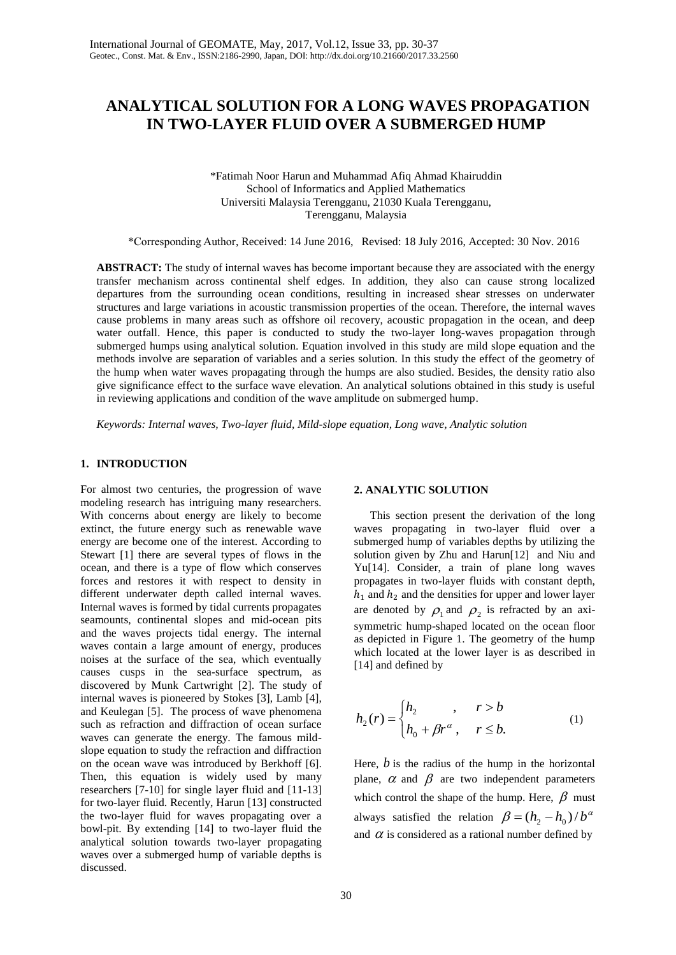# **ANALYTICAL SOLUTION FOR A LONG WAVES PROPAGATION IN TWO-LAYER FLUID OVER A SUBMERGED HUMP**

\*Fatimah Noor Harun and Muhammad Afiq Ahmad Khairuddin School of Informatics and Applied Mathematics Universiti Malaysia Terengganu, 21030 Kuala Terengganu, Terengganu, Malaysia

\*Corresponding Author, Received: 14 June 2016, Revised: 18 July 2016, Accepted: 30 Nov. 2016

**ABSTRACT:** The study of internal waves has become important because they are associated with the energy transfer mechanism across continental shelf edges. In addition, they also can cause strong localized departures from the surrounding ocean conditions, resulting in increased shear stresses on underwater structures and large variations in acoustic transmission properties of the ocean. Therefore, the internal waves cause problems in many areas such as offshore oil recovery, acoustic propagation in the ocean, and deep water outfall. Hence, this paper is conducted to study the two-layer long-waves propagation through submerged humps using analytical solution. Equation involved in this study are mild slope equation and the methods involve are separation of variables and a series solution. In this study the effect of the geometry of the hump when water waves propagating through the humps are also studied. Besides, the density ratio also give significance effect to the surface wave elevation. An analytical solutions obtained in this study is useful in reviewing applications and condition of the wave amplitude on submerged hump.

*Keywords: Internal waves, Two-layer fluid, Mild-slope equation, Long wave, Analytic solution*

## **1. INTRODUCTION**

For almost two centuries, the progression of wave modeling research has intriguing many researchers. With concerns about energy are likely to become extinct, the future energy such as renewable wave energy are become one of the interest. According to Stewart [1] there are several types of flows in the ocean, and there is a type of flow which conserves forces and restores it with respect to density in different underwater depth called internal waves. Internal waves is formed by tidal currents propagates seamounts, continental slopes and mid-ocean pits and the waves projects tidal energy. The internal waves contain a large amount of energy, produces noises at the surface of the sea, which eventually causes cusps in the sea-surface spectrum, as discovered by Munk Cartwright [2]. The study of internal waves is pioneered by Stokes [3], Lamb [4], and Keulegan [5]. The process of wave phenomena such as refraction and diffraction of ocean surface waves can generate the energy. The famous mildslope equation to study the refraction and diffraction on the ocean wave was introduced by Berkhoff [6]. Then, this equation is widely used by many researchers [7-10] for single layer fluid and [11-13] for two-layer fluid. Recently, Harun [13] constructed the two-layer fluid for waves propagating over a bowl-pit. By extending [14] to two-layer fluid the analytical solution towards two-layer propagating waves over a submerged hump of variable depths is discussed.

#### **2. ANALYTIC SOLUTION**

This section present the derivation of the long waves propagating in two-layer fluid over a submerged hump of variables depths by utilizing the solution given by Zhu and Harun[12] and Niu and Yu[14]. Consider, a train of plane long waves propagates in two-layer fluids with constant depth,  $h_1$  and  $h_2$  and the densities for upper and lower layer are denoted by  $\rho_1$  and  $\rho_2$  is refracted by an axisymmetric hump-shaped located on the ocean floor as depicted in Figure 1. The geometry of the hump which located at the lower layer is as described in [14] and defined by

$$
h_2(r) = \begin{cases} h_2, & r > b \\ h_0 + \beta r^{\alpha}, & r \le b. \end{cases}
$$
 (1)

Here,  $\hat{b}$  is the radius of the hump in the horizontal plane,  $\alpha$  and  $\beta$  are two independent parameters which control the shape of the hump. Here,  $\beta$  must always satisfied the relation  $\beta = (h_2 - h_0)/b^{\alpha}$ and  $\alpha$  is considered as a rational number defined by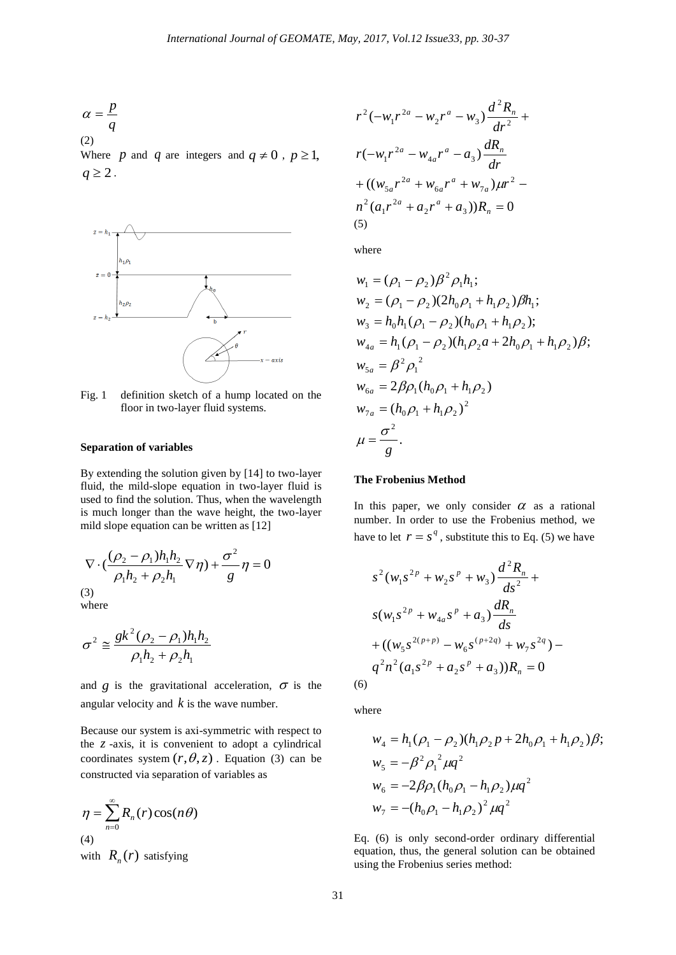$$
\alpha = \frac{p}{q}
$$
  
(2)  
Where *p* and *q* are integers and  $q \neq 0$ ,  $p \geq 1$ ,

 $q \geq 2$ .



Fig. 1 definition sketch of a hump located on the floor in two-layer fluid systems.

#### **Separation of variables**

By extending the solution given by [14] to two-layer fluid, the mild-slope equation in two-layer fluid is used to find the solution. Thus, when the wavelength is much longer than the wave height, the two-layer mild slope equation can be written as [12]

$$
\nabla \cdot \left(\frac{(\rho_2 - \rho_1)h_1 h_2}{\rho_1 h_2 + \rho_2 h_1} \nabla \eta\right) + \frac{\sigma^2}{g} \eta = 0
$$
\n(3)

where

$$
\sigma^2 \cong \frac{g k^2 (\rho_2 - \rho_1) h_1 h_2}{\rho_1 h_2 + \rho_2 h_1}
$$

and *g* is the gravitational acceleration,  $\sigma$  is the angular velocity and *k* is the wave number.

Because our system is axi-symmetric with respect to the *z* -axis, it is convenient to adopt a cylindrical coordinates system  $(r, \theta, z)$ . Equation (3) can be constructed via separation of variables as

$$
\eta = \sum_{n=0}^{\infty} R_n(r) \cos(n\theta)
$$
  
(4)  
with  $R_n(r)$  satisfying

$$
r^{2}(-w_{1}r^{2a} - w_{2}r^{a} - w_{3})\frac{d^{2}R_{n}}{dr^{2}} +
$$
  
\n
$$
r(-w_{1}r^{2a} - w_{4a}r^{a} - a_{3})\frac{dR_{n}}{dr}
$$
  
\n
$$
+((w_{5a}r^{2a} + w_{6a}r^{a} + w_{7a})\mu r^{2} -
$$
  
\n
$$
n^{2}(a_{1}r^{2a} + a_{2}r^{a} + a_{3}))R_{n} = 0
$$
  
\n(5)

where

$$
w_1 = (\rho_1 - \rho_2)\beta^2 \rho_1 h_1;
$$
  
\n
$$
w_2 = (\rho_1 - \rho_2)(2h_0\rho_1 + h_1\rho_2)\beta h_1;
$$
  
\n
$$
w_3 = h_0h_1(\rho_1 - \rho_2)(h_0\rho_1 + h_1\rho_2);
$$
  
\n
$$
w_{4a} = h_1(\rho_1 - \rho_2)(h_1\rho_2 a + 2h_0\rho_1 + h_1\rho_2)\beta;
$$
  
\n
$$
w_{5a} = \beta^2 \rho_1^2
$$
  
\n
$$
w_{6a} = 2\beta \rho_1(h_0\rho_1 + h_1\rho_2)
$$
  
\n
$$
w_{7a} = (h_0\rho_1 + h_1\rho_2)^2
$$
  
\n
$$
\mu = \frac{\sigma^2}{g}.
$$

## **The Frobenius Method**

In this paper, we only consider  $\alpha$  as a rational number. In order to use the Frobenius method, we have to let  $r = s^q$ , substitute this to Eq. (5) we have

$$
s^{2}(w_{1}s^{2p} + w_{2}s^{p} + w_{3})\frac{d^{2}R_{n}}{ds^{2}} + s(w_{1}s^{2p} + w_{4a}s^{p} + a_{3})\frac{dR_{n}}{ds} + ((w_{5}s^{2(p+p)} - w_{6}s^{(p+2q)} + w_{7}s^{2q}) - q^{2}n^{2}(a_{1}s^{2p} + a_{2}s^{p} + a_{3}))R_{n} = 0
$$
\n(6)

where

$$
w_4 = h_1(\rho_1 - \rho_2)(h_1 \rho_2 p + 2h_0 \rho_1 + h_1 \rho_2)\beta;
$$
  
\n
$$
w_5 = -\beta^2 \rho_1^2 \mu q^2
$$
  
\n
$$
w_6 = -2\beta \rho_1 (h_0 \rho_1 - h_1 \rho_2) \mu q^2
$$
  
\n
$$
w_7 = -(h_0 \rho_1 - h_1 \rho_2)^2 \mu q^2
$$

Eq. (6) is only second-order ordinary differential equation, thus, the general solution can be obtained using the Frobenius series method: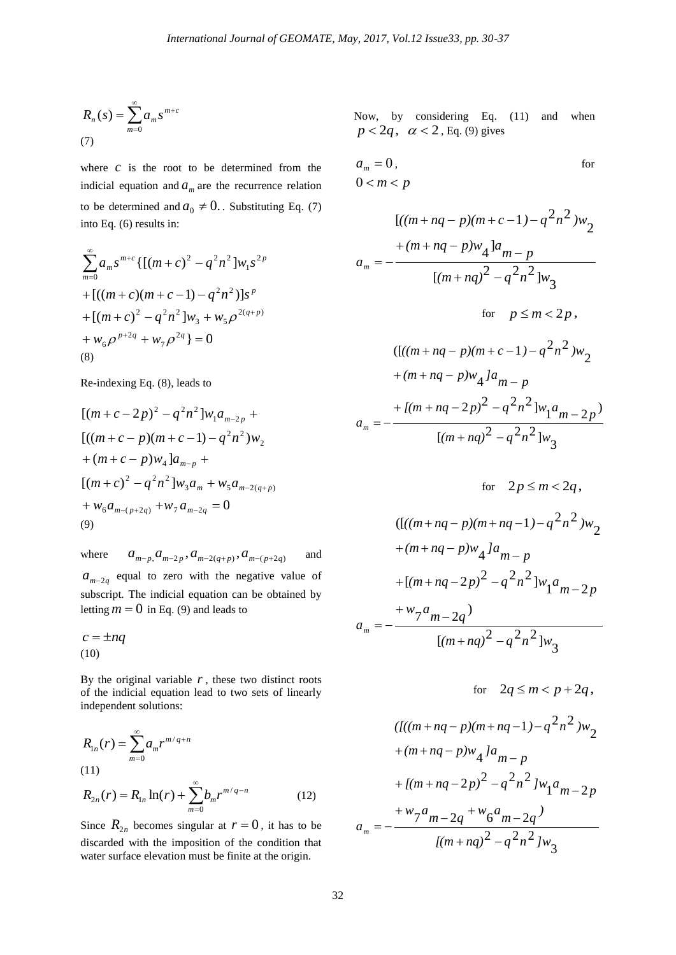$$
R_n(s) = \sum_{m=0}^{\infty} a_m s^{m+c}
$$
\n(7)

where  $c$  is the root to be determined from the indicial equation and  $a_m$  are the recurrence relation to be determined and  $a_0 \neq 0$ . Substituting Eq. (7) into Eq. (6) results in:

$$
\sum_{m=0}^{\infty} a_m s^{m+c} \{ [(m+c)^2 - q^2 n^2] w_1 s^{2p}
$$
  
+ 
$$
[((m+c)(m+c-1) - q^2 n^2)] s^p
$$
  
+ 
$$
[(m+c)^2 - q^2 n^2] w_3 + w_5 \rho^{2(q+p)}
$$
  
+ 
$$
w_6 \rho^{p+2q} + w_7 \rho^{2q} \} = 0
$$
  
(8)

Re-indexing Eq. (8), leads to

$$
R_n(s) = \sum_{m=0} a_m s^{m+c}
$$
  
(7)  
where *c* is the root to be determined from the  
indicial equation and  $a_m$  are the recurrence relation  
to be determined and  $a_0 \neq 0$ . Substituting Eq. (7)  
into Eq. (6) results in:  

$$
\sum_{m=0}^{\infty} a_m s^{m+c} \{[(m+c)^2 - q^2 n^2] w_1 s^{2p} + [((m+c)(m+c-1) - q^2 n^2)] s^p + [(m+c)^2 - q^2 n^2] w_3 + w_5 \rho^{2(q+p)} + w_6 \rho^{p+2q} + w_7 \rho^{2q}\} = 0
$$
  
(8)  
Re-indexing Eq. (8), leads to  

$$
[(m+c-2p)^2 - q^2 n^2] w_1 a_{m-2p} + [(m+c-2p)(m+c-1) - q^2 n^2) w_2 + (m+c-p) w_1 a_{m-p} + (m+c-p) w_1 a_{m-p} + w_6 a_{m-(p+2q)} + w_7 a_{m-2q} = 0
$$
  
(9)  
where 
$$
a_{m-p, a_{m-2p}, a_{m-2(a+p)}, a_{m-(p+2q)}
$$
 and  

$$
a_{m-2q}
$$
 equal to zero with the negative value of  
subscript. The indicial equation can be obtained by  
letting  $m = 0$  in Eq. (9) and leads to  
 $c = \pm nq$   
(10)  
By the original variable *r*, these two distinct roots  
of the indicial equation lead to two sets of linearly  
independent solutions:  

$$
R_{1n}(r) = \sum_{m=0}^{\infty} a_m r^{m/q+n}
$$
  
(11)  

$$
R_{2n}(r) = R_{1n} \ln(r) + \sum_{m=0}^{\infty} b_m r^{m/q-n}
$$
 (12)  
Since  $R_{2n}$  becomes singular at  $r = 0$ , it has to be  
discarded with the imposition of the condition that  
water surface elevation must be finite at the origin.

where  $a_{m-p, a_{m-2p}, a_{m-2(q+p)}, a_{m-(p+2q)}$ and  $a_{m-2q}$  equal to zero with the negative value of subscript. The indicial equation can be obtained by letting  $m = 0$  in Eq. (9) and leads to

 $c = \pm nq$ (10)

By the original variable  $r$ , these two distinct roots of the indicial equation lead to two sets of linearly independent solutions:

$$
R_{1n}(r) = \sum_{m=0}^{\infty} a_m r^{m/q+n}
$$
  
(11)  

$$
R_{2n}(r) = R_{1n} \ln(r) + \sum_{m=0}^{\infty} b_m r^{m/q-n}
$$
 (12)

Since  $R_{2n}$  becomes singular at  $r = 0$ , it has to be discarded with the imposition of the condition that water surface elevation must be finite at the origin.

Now, by considering Eq. (11) and when  $p < 2q$ ,  $\alpha < 2$ , Eq. (9) gives

$$
a_m = 0, \t\t for 
$$
0 < m < p
$$
$$

$$
[(m+nq-p)(m+c-1)-q^{2}n^{2})w_{2}
$$
  
+ $(m+nq-p)w_{4}]a_{m-p}$   

$$
a_{m} = -\frac{[(m+nq)^{2}-q^{2}n^{2}]w_{3}}{[(m+nq)^{2}-q^{2}n^{2}]w_{3}}
$$
  
for  $p \leq m < 2p$ ,  
 $((((m+nq-p)(m+c-1)-q^{2}n^{2})w_{2})+(m+nq-p)w_{4}]a_{m-p}$   

$$
a_{m} = -\frac{[(m+nq-2p)^{2}-q^{2}n^{2}]w_{1}a_{m-2p}}{[(m+nq)^{2}-q^{2}n^{2}]w_{3}}
$$

for 
$$
2p \le m < 2q
$$
,  
\n
$$
(\left[((m+nq-p)(m+nq-1) - q^2 n^2)w_2\right.\n+(m+nq-p)w_4\left[a_{m-p}\right.\n+\left[(m+nq-2p)^2 - q^2 n^2\right]w_1 a_{m-2p}
$$
\n
$$
a_m = -\frac{w_7 a_{m-2q}}{\left[(m+nq)^2 - q^2 n^2\right]w_3}
$$

for 
$$
2q \le m < p + 2q
$$
,  
\n
$$
(\frac{[(m+nq-p)(m+nq-1)-q^2n^2)}{w_2} + (m+nq-p)w_4la_{m-p}
$$
\n
$$
+(\frac{m+nq-2p}{2}-q^2n^2)w_1a_{m-2p}
$$
\n
$$
a_m = -\frac{w_7a_{m-2q}+w_6a_{m-2q}}{[(m+nq)^2-q^2n^2]}w_3
$$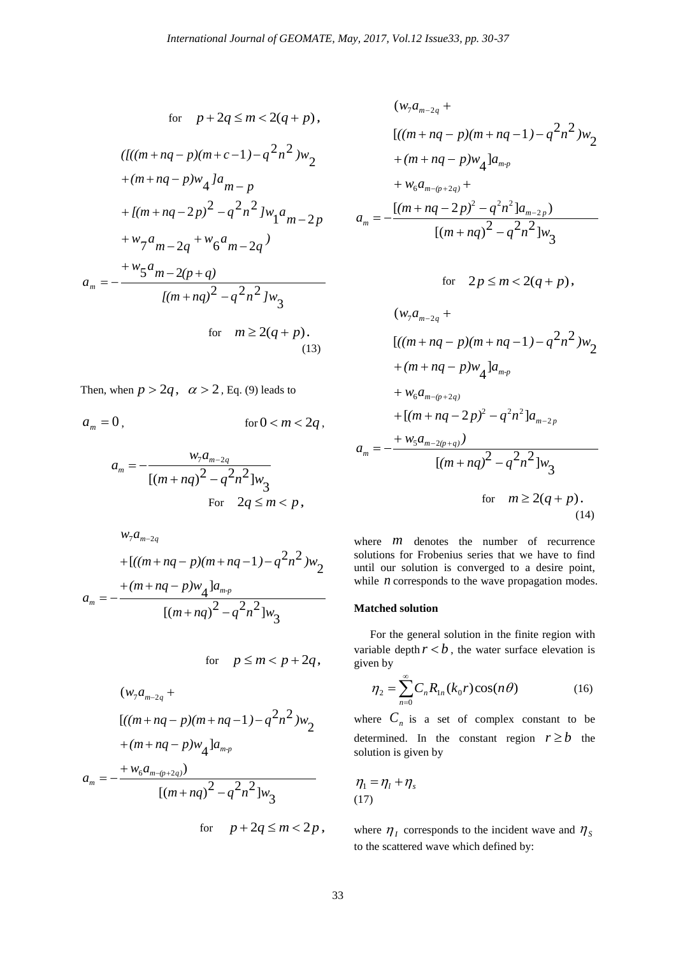for 
$$
p+2q \le m < 2(q+p)
$$
,  
\n
$$
([((m+nq-p)(m+c-1)-q^{2}n^{2})w_{2} + (m+nq-p)w_{4}]a_{m-p}
$$
\n
$$
+ [(m+nq-2p)^{2} - q^{2}n^{2}]w_{1}a_{m-2p}
$$
\n
$$
+ w_{7}a_{m-2q} + w_{6}a_{m-2q})
$$
\n
$$
a_{m} = -\frac{+w_{5}a_{m-2(p+q)}}{[(m+nq)^{2} - q^{2}n^{2}]w_{3}}
$$
\nfor  $m \ge 2(q+p)$ .

Then, when  $p > 2q$ ,  $\alpha > 2$ , Eq. (9) leads to

$$
a_m = 0, \qquad \qquad \text{for } 0 < m < 2q \,,
$$

(13)

$$
a_{m} = -\frac{w_{7}a_{m-2q}}{[(m+nq)^{2} - q^{2}n^{2}]w_{3}}
$$
  
For  $2q \le m < p$ ,

$$
w_{7}a_{m-2q}
$$
  
+
$$
[(m+nq-p)(m+nq-1)-q^{2}n^{2})w_{2}
$$
  

$$
a_{m}=-\frac{+(m+nq-p)w_{4}a_{m-p}}{[(m+nq)^{2}-q^{2}n^{2}]w_{3}}
$$

for 
$$
p \leq m < p + 2q
$$
,

$$
(w_7 a_{m-2q} +
$$
  
\n
$$
[(m+nq-p)(m+nq-1) - q^2 n^2)w_2
$$
  
\n+
$$
(m+nq-p)w_4]a_{m-p}
$$
  
\n
$$
a_m = -\frac{w_6 a_{m-(p+2q)})}{[(m+nq)^2 - q^2 n^2]w_3}
$$
  
\nfor  $p+2q \le m < 2p$ ,

$$
for \t p+2q\leq m<2p,
$$

$$
(w_7 a_{m-2q} +
$$
  
\n
$$
[(m+nq-p)(m+nq-1) - q^2 n^2)w_2
$$
  
\n
$$
+(m+nq-p)w_4]a_{m-p}
$$
  
\n
$$
+ w_6 a_{m-(p+2q)} +
$$
  
\n
$$
a_m = -\frac{[(m+nq-2p)^2 - q^2 n^2]a_{m-2p}}{[(m+nq)^2 - q^2 n^2]w_3}
$$

for 
$$
2p \le m < 2(q+p)
$$
,

$$
(w_7 a_{m-2q} +
$$
  
\n
$$
[(m+nq-p)(m+nq-1) - q^2 n^2)w_2
$$
  
\n+
$$
(m+nq-p)w_4]a_{m-p}
$$
  
\n+
$$
w_6 a_{m-(p+2q)}
$$
  
\n+
$$
[(m+nq-2p)^2 - q^2 n^2]a_{m-2p}
$$
  
\n
$$
a_m = -\frac{+w_5 a_{m-2(p+q)})}{[(m+nq)^2 - q^2 n^2]w_3}
$$
  
\nfor  $m \ge 2(q+p)$ .  
\n(14)

where *m* denotes the number of recurrence solutions for Frobenius series that we have to find until our solution is converged to a desire point, while  $n$  corresponds to the wave propagation modes.

## **Matched solution**

For the general solution in the finite region with variable depth  $r < b$ , the water surface elevation is given by

$$
\eta_2 = \sum_{n=0}^{\infty} C_n R_{1n}(k_0 r) \cos(n\theta) \tag{16}
$$

where  $C_n$  is a set of complex constant to be determined. In the constant region  $r \ge b$  the solution is given by

$$
\eta_1 = \eta_l + \eta_s
$$
\n(17)

where  $\eta_I$  corresponds to the incident wave and  $\eta_S$ to the scattered wave which defined by: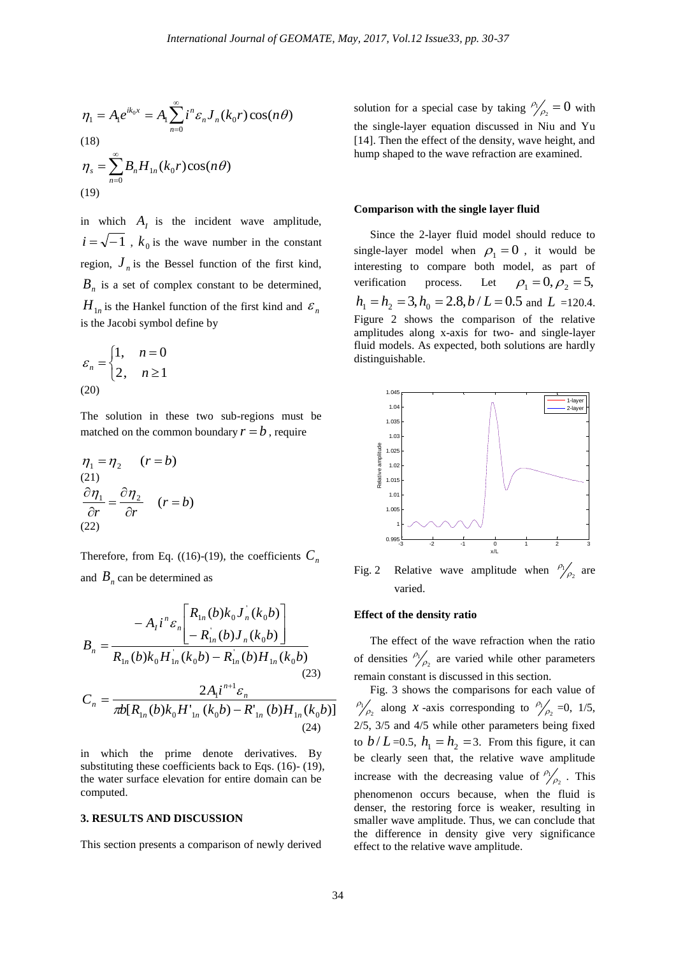$$
\eta_1 = A_1 e^{ik_0 x} = A_1 \sum_{n=0}^{\infty} i^n \varepsilon_n J_n(k_0 r) \cos(n\theta)
$$
  
(18)  

$$
\eta_s = \sum_{n=0}^{\infty} B_n H_{1n}(k_0 r) \cos(n\theta)
$$
  
(19)

in which  $A_I$  is the incident wave amplitude,  $i = \sqrt{-1}$ ,  $k_0$  is the wave number in the constant region,  $J_n$  is the Bessel function of the first kind,  $B_n$  is a set of complex constant to be determined,  $H_{1n}$  is the Hankel function of the first kind and  $\varepsilon_n$ is the Jacobi symbol define by

$$
\varepsilon_n = \begin{cases} 1, & n = 0 \\ 2, & n \ge 1 \end{cases}
$$
\n(20)

The solution in these two sub-regions must be matched on the common boundary  $r = b$ , require

$$
\eta_1 = \eta_2 \quad (r = b)
$$
  
(21)  

$$
\frac{\partial \eta_1}{\partial r} = \frac{\partial \eta_2}{\partial r} \quad (r = b)
$$
  
(22)

Therefore, from Eq. ((16)-(19), the coefficients  $C_n$ and  $B_n$  can be determined as

$$
\eta_1 = A_1 e^{ik_0 x} = A_1 \sum_{n=0} t^n \varepsilon_n J_n(k_0 r) \cos(n\theta)
$$
\n(18)  
\n
$$
\eta_s = \sum_{n=0}^{\infty} B_n H_{1n}(k_0 r) \cos(n\theta)
$$
\n(19)  
\nin which  $A_I$  is the incident wave amplitude,  
\n $i = \sqrt{-1}$ ,  $k_0$  is the wave number in the constant  
\nregion,  $J_n$  is the Bessel function of the first kind,  
\n $B_n$  is a set of complex constant to be determined,  
\n $H_{1n}$  is the Hankel function of the first kind and  $\varepsilon_n$   
\nis the Jacob symbol define by  
\n $\varepsilon_n = \begin{cases}\n1, & n = 0 \\
2, & n \ge 1\n\end{cases}$   
\n(20)  
\nThe solution in these two sub-regions must be  
\nmatched on the common boundary  $r = b$ , require  
\n $\eta_1 = \eta_2$  ( $r = b$ )  
\n(21)  
\n $\frac{\partial \eta_1}{\partial r} = \frac{\partial \eta_2}{\partial r}$  ( $r = b$ )  
\n(22)  
\nTherefore, from Eq. ((16)-(19), the coefficients  $C_n$   
\nand  $B_n$  can be determined as  
\n $-A_I i^n \varepsilon_n \begin{bmatrix} R_{1n}(b) k_0 J_n(k_0 b) \\ -R_{1n}(b) J_n(k_0 b) \end{bmatrix}$   
\n $B_n = \frac{2A_I i^{n+1} \varepsilon_n}{R_{1n}(b) k_0 H_{1n}(k_0 b) - R_{1n}(b) H_{1n}(k_0 b)}$   
\n $C_n = \frac{2A_I i^{n+1} \varepsilon_n}{\pi b[R_{1n}(b) k_0 H_{1n}(k_0 b) - R_{1n}(b) H_{1n}(k_0 b)]}$   
\nin which the prime denote derivatives. By  
\nsubstituting these coefficients back to Eqs. (16)-(19),  
\nthe water surface elevation for entire domain can be  
\ncomputed.  
\n3. RESULTS AND DISCUSSION  
\nThis section presents a comparison of newly derived  
\n34

in which the prime denote derivatives. By substituting these coefficients back to Eqs. (16)- (19), the water surface elevation for entire domain can be computed.

## **3. RESULTS AND DISCUSSION**

This section presents a comparison of newly derived

solution for a special case by taking  $\frac{\rho_1}{\rho_2} = 0$  with the single-layer equation discussed in Niu and Yu [14]. Then the effect of the density, wave height, and hump shaped to the wave refraction are examined.

#### **Comparison with the single layer fluid**

Since the 2-layer fluid model should reduce to single-layer model when  $\rho_1 = 0$ , it would be interesting to compare both model, as part of verification process. Let  $\rho_1 = 0, \rho_2 = 5,$  $h_1 = h_2 = 3, h_0 = 2.8, b / L = 0.5$  and  $L = 120.4$ . Figure 2 shows the comparison of the relative amplitudes along x-axis for two- and single-layer fluid models. As expected, both solutions are hardly distinguishable.



Fig. 2 Relative wave amplitude when  $\frac{\rho_1}{\rho_2}$  are varied.

### **Effect of the density ratio**

The effect of the wave refraction when the ratio of densities  $\frac{\rho_1}{\rho_2}$  are varied while other parameters remain constant is discussed in this section.

Fig. 3 shows the comparisons for each value of  $\frac{\rho_1}{\rho_2}$  along *x*-axis corresponding to  $\frac{\rho_1}{\rho_2}$  =0, 1/5, 2/5, 3/5 and 4/5 while other parameters being fixed to  $b/L = 0.5$ ,  $h_1 = h_2 = 3$ . From this figure, it can be clearly seen that, the relative wave amplitude increase with the decreasing value of  $\frac{\rho_1}{\rho_2}$ . This phenomenon occurs because, when the fluid is denser, the restoring force is weaker, resulting in smaller wave amplitude. Thus, we can conclude that the difference in density give very significance effect to the relative wave amplitude.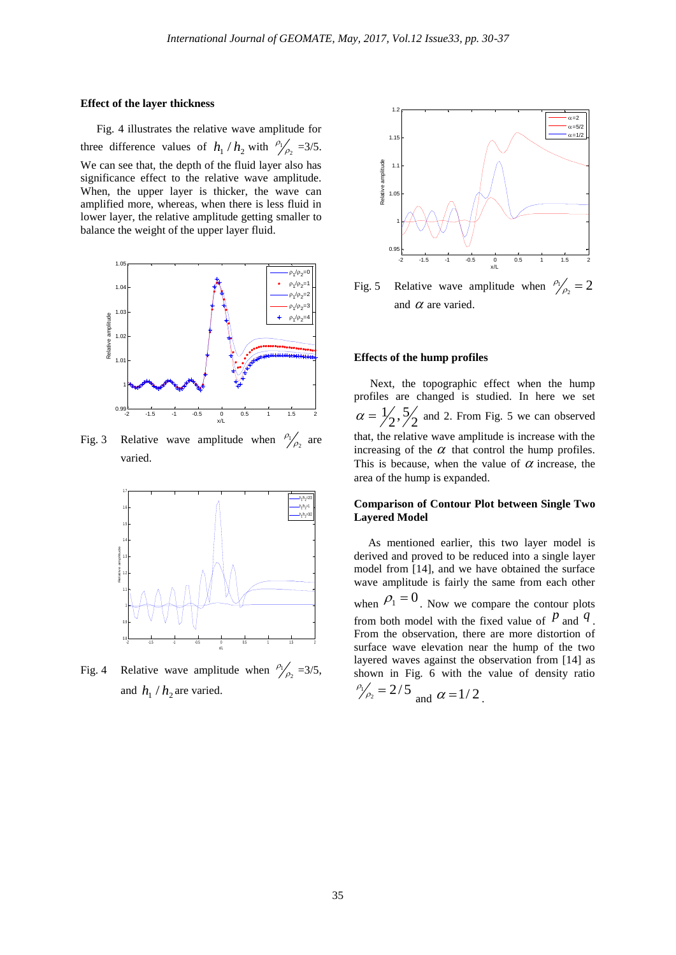#### **Effect of the layer thickness**

Fig. 4 illustrates the relative wave amplitude for three difference values of  $h_1 / h_2$  with  $\frac{\rho_1}{\rho_2} = 3/5$ . We can see that, the depth of the fluid layer also has significance effect to the relative wave amplitude. When, the upper layer is thicker, the wave can amplified more, whereas, when there is less fluid in lower layer, the relative amplitude getting smaller to balance the weight of the upper layer fluid.



Fig. 3 Relative wave amplitude when  $\frac{\rho_1}{\rho_2}$  are varied.

![](_page_5_Figure_5.jpeg)

Fig. 4 Relative wave amplitude when  $\frac{\rho_1}{\rho_2}$  =3/5, and  $h_1 / h_2$  are varied.

![](_page_5_Figure_7.jpeg)

Fig. 5 Relative wave amplitude when  $\frac{\rho_1}{\rho_2} = 2$ and  $\alpha$  are varied.

## **Effects of the hump profiles**

Next, the topographic effect when the hump profiles are changed is studied. In here we set 2  $\alpha = \frac{1}{2}, \frac{5}{2}$  and 2. From Fig. 5 we can observed that, the relative wave amplitude is increase with the increasing of the  $\alpha$  that control the hump profiles. This is because, when the value of  $\alpha$  increase, the area of the hump is expanded.

## **Comparison of Contour Plot between Single Two Layered Model**

 As mentioned earlier, this two layer model is derived and proved to be reduced into a single layer model from [14], and we have obtained the surface wave amplitude is fairly the same from each other when  $\rho_1 = 0$ . Now we compare the contour plots from both model with the fixed value of  $\overrightarrow{P}$  and  $\overrightarrow{q}$ . From the observation, there are more distortion of surface wave elevation near the hump of the two layered waves against the observation from [14] as shown in Fig. 6 with the value of density ratio  $P_{\gamma_{\rho_2}} = 2/5$  and  $\alpha = 1/2$ .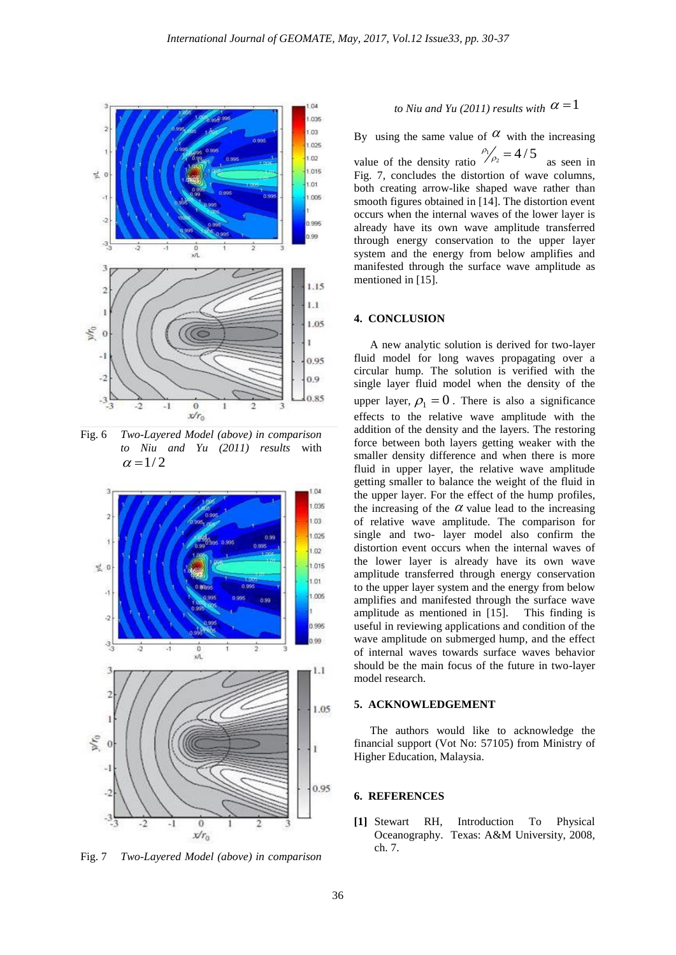![](_page_6_Figure_1.jpeg)

Fig. 6 *Two-Layered Model (above) in comparison to Niu and Yu (2011) results* with  $\alpha$  = 1/2

![](_page_6_Figure_3.jpeg)

Fig. 7 *Two-Layered Model (above) in comparison* 

# to Niu and Yu (2011) results with  $\alpha$  =  $1$

By using the same value of  $\alpha$  with the increasing

value of the density ratio  $\frac{\rho_1}{\rho_2} = 4/5$ as seen in Fig. 7, concludes the distortion of wave columns, both creating arrow-like shaped wave rather than smooth figures obtained in [14]. The distortion event occurs when the internal waves of the lower layer is already have its own wave amplitude transferred through energy conservation to the upper layer system and the energy from below amplifies and manifested through the surface wave amplitude as mentioned in [15].

## **4. CONCLUSION**

A new analytic solution is derived for two-layer fluid model for long waves propagating over a circular hump. The solution is verified with the single layer fluid model when the density of the upper layer,  $\rho_1 = 0$ . There is also a significance effects to the relative wave amplitude with the addition of the density and the layers. The restoring force between both layers getting weaker with the smaller density difference and when there is more fluid in upper layer, the relative wave amplitude getting smaller to balance the weight of the fluid in the upper layer. For the effect of the hump profiles, the increasing of the  $\alpha$  value lead to the increasing of relative wave amplitude. The comparison for single and two- layer model also confirm the distortion event occurs when the internal waves of the lower layer is already have its own wave amplitude transferred through energy conservation to the upper layer system and the energy from below amplifies and manifested through the surface wave amplitude as mentioned in [15]. This finding is useful in reviewing applications and condition of the wave amplitude on submerged hump, and the effect of internal waves towards surface waves behavior should be the main focus of the future in two-layer model research.

# **5. ACKNOWLEDGEMENT**

The authors would like to acknowledge the financial support (Vot No: 57105) from Ministry of Higher Education, Malaysia.

### **6. REFERENCES**

**[1]** Stewart RH, Introduction To Physical Oceanography. Texas: A&M University, 2008, ch. 7.